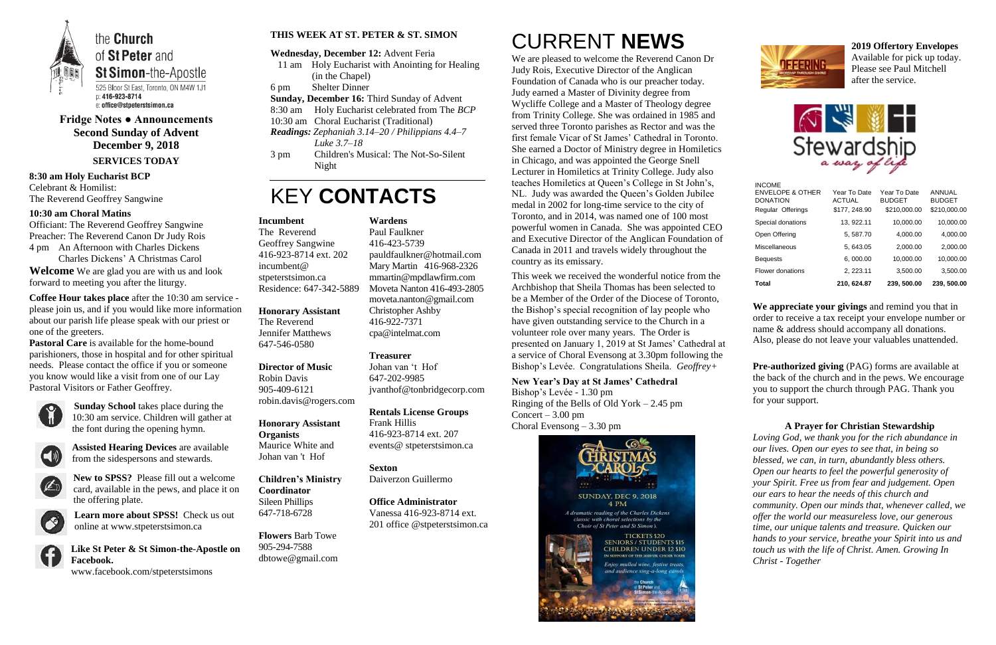

**Fridge Notes ● Announcements Second Sunday of Advent December 9, 2018 SERVICES TODAY**

#### **8:30 am Holy Eucharist BCP** Celebrant & Homilist: The Reverend Geoffrey Sangwine

#### **10:30 am Choral Matins**

Officiant: The Reverend Geoffrey Sangwine Preacher: The Reverend Canon Dr Judy Rois 4 pm An Afternoon with Charles Dickens Charles Dickens' A Christmas Carol

**Welcome** We are glad you are with us and look forward to meeting you after the liturgy.

**Coffee Hour takes place** after the 10:30 am service please join us, and if you would like more information about our parish life please speak with our priest or one of the greeters.

**Pastoral Care** is available for the home-bound parishioners, those in hospital and for other spiritual needs. Please contact the office if you or someone you know would like a visit from one of our Lay Pastoral Visitors or Father Geoffrey.



**Sunday School** takes place during the 10:30 am service. Children will gather at the font during the opening hymn.



**Assisted Hearing Devices** are available from the sidespersons and stewards.



**New to SPSS?** Please fill out a welcome card, available in the pews, and place it on the offering plate.



**Learn more about SPSS!** Check us out online at www.stpeterstsimon.ca

**Like St Peter & St Simon-the-Apostle on Facebook.** 

www.facebook.com/stpeterstsimons

#### **THIS WEEK AT ST. PETER & ST. SIMON**

#### **Wednesday, December 12:** Advent Feria

- 11 am Holy Eucharist with Anointing for Healing (in the Chapel)
- 6 pm Shelter Dinner
- **Sunday, December 16:** Third Sunday of Advent
- 8:30 am Holy Eucharist celebrated from The *BCP*
- 10:30 am Choral Eucharist (Traditional)
- *Readings: Zephaniah 3.14–20 / Philippians 4.4–7 Luke 3.7–18*
- 3 pm Children's Musical: The Not-So-Silent Night

## KEY **CONTACTS**

# CURRENT **NEWS**

We are pleased to welcome the Reverend Canon Dr Judy Rois, Executive Director of the Anglican Foundation of Canada who is our preacher today. Judy earned a Master of Divinity degree from Wycliffe College and a Master of Theology degree from Trinity College. She was ordained in 1985 and served three Toronto parishes as Rector and was the first female Vicar of St James' Cathedral in Toronto. She earned a Doctor of Ministry degree in Homiletics in Chicago, and was appointed the George Snell Lecturer in Homiletics at Trinity College. Judy also teaches Homiletics at Queen's College in St John's, NL. Judy was awarded the Queen's Golden Jubilee medal in 2002 for long-time service to the city of Toronto, and in 2014, was named one of 100 most powerful women in Canada. She was appointed CEO and Executive Director of the Anglican Foundation of Canada in 2011 and travels widely throughout the country as its emissary.

This week we received the wonderful notice from the Archbishop that Sheila Thomas has been selected to be a Member of the Order of the Diocese of Toronto, the Bishop's special recognition of lay people who have given outstanding service to the Church in a volunteer role over many years. The Order is presented on January 1, 2019 at St James' Cathedral at a service of Choral Evensong at 3.30pm following the Bishop's Levée. Congratulations Sheila. *Geoffrey+*

#### **New Year's Day at St James' Cathedral**

Bishop's Levée - 1.30 pm Ringing of the Bells of Old York – 2.45 pm Concert –  $3.00 \text{ pm}$ Choral Evensong – 3.30 pm



**2019 Offertory Envelopes** Available for pick up today. Please see Paul Mitchell after the service.



**We appreciate your givings** and remind you that in order to receive a tax receipt your envelope number or name & address should accompany all donations. Also, please do not leave your valuables unattended.

**Pre-authorized giving** (PAG) forms are available at the back of the church and in the pews. We encourage you to support the church through PAG. Thank you for your support.

#### **A Prayer for Christian Stewardship**

*Loving God, we thank you for the rich abundance in our lives. Open our eyes to see that, in being so blessed, we can, in turn, abundantly bless others. Open our hearts to feel the powerful generosity of your Spirit. Free us from fear and judgement. Open our ears to hear the needs of this church and community. Open our minds that, whenever called, we offer the world our measureless love, our generous time, our unique talents and treasure. Quicken our hands to your service, breathe your Spirit into us and touch us with the life of Christ. Amen. Growing In Christ - Together*

#### **Incumbent**

The Reverend Geoffrey Sangwine 416-923-8714 ext. 202 incumbent@ stpeterstsimon.ca Residence: 647-342-5889

**Honorary Assistant**

The Reverend Jennifer Matthews 647-546-0580

**Director of Music**  Robin Davis 905-409-6121 robin.davis@rogers.com

**Honorary Assistant Organists**  Maurice White and Johan van 't Hof

**Children's Ministry Coordinator** Sileen Phillips 647-718-6728

**Flowers** Barb Towe 905-294-7588 dbtowe@gmail.com

#### **Wardens**

Paul Faulkner 416-423-5739 [pauldfaulkner@hotmail.com](mailto:pauldfaulkner@hotmail.com)  Mary Martin 416-968-2326 mmartin@mpdlawfirm.com Moveta Nanton 416-493-2805 moveta.nanton@gmail.com

Christopher Ashby 416-922-7371 cpa@intelmat.com



#### **Treasurer**

Johan van 't Hof 647-202-9985 jvanthof@tonbridgecorp.com

**Rentals License Groups** Frank Hillis 416-923-8714 ext. 207 events@ stpeterstsimon.ca

**Sexton** Daiverzon Guillermo

**Office Administrator** Vanessa 416-923-8714 ext. 201 office @stpeterstsimon.ca

| Total                                                           | 210, 624.87                   | 239, 500.00                   | 239, 500.00             |
|-----------------------------------------------------------------|-------------------------------|-------------------------------|-------------------------|
| Flower donations                                                | 2, 223.11                     | 3,500.00                      | 3,500.00                |
| <b>Bequests</b>                                                 | 6,000.00                      | 10.000.00                     | 10.000.00               |
| Miscellaneous                                                   | 5, 643.05                     | 2,000.00                      | 2,000.00                |
| Open Offering                                                   | 5, 587.70                     | 4,000.00                      | 4,000.00                |
| Special donations                                               | 13, 922.11                    | 10,000.00                     | 10,000.00               |
| Regular Offerings                                               | \$177, 248.90                 | \$210,000.00                  | \$210,000.00            |
| <b>INCOME</b><br><b>ENVELOPE &amp; OTHER</b><br><b>DONATION</b> | Year To Date<br><b>ACTUAL</b> | Year To Date<br><b>BUDGET</b> | ANNUAL<br><b>BUDGET</b> |